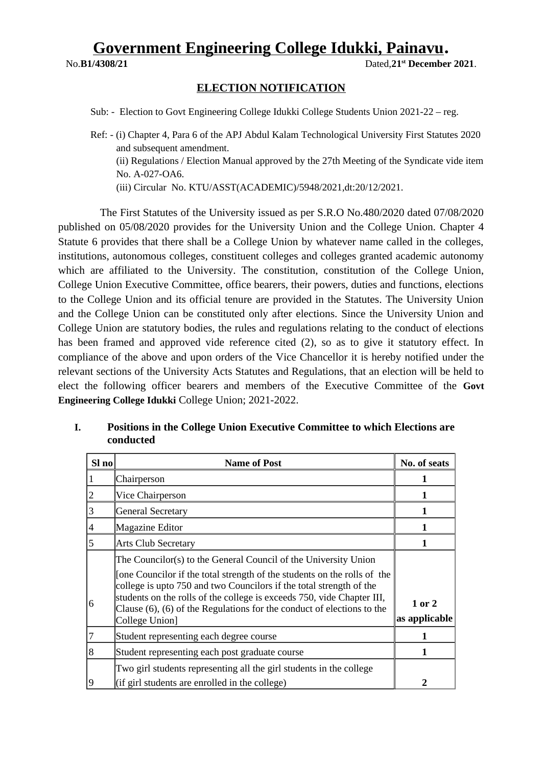# **Government Engineering College Idukki, Painavu**.

No.**B1/4308/21** Dated,**21st December 2021**.

#### **ELECTION NOTIFICATION**

Sub: - Election to Govt Engineering College Idukki College Students Union 2021-22 – reg.

 The First Statutes of the University issued as per S.R.O No.480/2020 dated 07/08/2020 published on 05/08/2020 provides for the University Union and the College Union. Chapter 4 Statute 6 provides that there shall be a College Union by whatever name called in the colleges, institutions, autonomous colleges, constituent colleges and colleges granted academic autonomy which are affiliated to the University. The constitution, constitution of the College Union, College Union Executive Committee, office bearers, their powers, duties and functions, elections to the College Union and its official tenure are provided in the Statutes. The University Union and the College Union can be constituted only after elections. Since the University Union and College Union are statutory bodies, the rules and regulations relating to the conduct of elections has been framed and approved vide reference cited (2), so as to give it statutory effect. In compliance of the above and upon orders of the Vice Chancellor it is hereby notified under the relevant sections of the University Acts Statutes and Regulations, that an election will be held to elect the following officer bearers and members of the Executive Committee of the **Govt Engineering College Idukki** College Union; 2021-2022.

| Sl no | <b>Name of Post</b>                                                                                                                                                                                                                                                                                                                                                                      | No. of seats            |
|-------|------------------------------------------------------------------------------------------------------------------------------------------------------------------------------------------------------------------------------------------------------------------------------------------------------------------------------------------------------------------------------------------|-------------------------|
|       | Chairperson                                                                                                                                                                                                                                                                                                                                                                              | 1                       |
| 2     | Vice Chairperson                                                                                                                                                                                                                                                                                                                                                                         | 1                       |
| 3     | <b>General Secretary</b>                                                                                                                                                                                                                                                                                                                                                                 | 1                       |
| 4     | Magazine Editor                                                                                                                                                                                                                                                                                                                                                                          | 1                       |
| 5     | <b>Arts Club Secretary</b>                                                                                                                                                                                                                                                                                                                                                               |                         |
| 6     | The Councilor(s) to the General Council of the University Union<br>[one Councilor if the total strength of the students on the rolls of the<br>college is upto 750 and two Councilors if the total strength of the<br>students on the rolls of the college is exceeds 750, vide Chapter III,<br>Clause (6), (6) of the Regulations for the conduct of elections to the<br>College Union] | 1 or 2<br>as applicable |
| 7     | Student representing each degree course                                                                                                                                                                                                                                                                                                                                                  | 1                       |
| 8     | Student representing each post graduate course                                                                                                                                                                                                                                                                                                                                           | 1                       |
| 9     | Two girl students representing all the girl students in the college<br>(if girl students are enrolled in the college)                                                                                                                                                                                                                                                                    | $\overline{2}$          |

#### **I. Positions in the College Union Executive Committee to which Elections are conducted**

Ref: - (i) Chapter 4, Para 6 of the APJ Abdul Kalam Technological University First Statutes 2020 and subsequent amendment. (ii) Regulations / Election Manual approved by the 27th Meeting of the Syndicate vide item No. A-027-OA6. (iii) Circular No. KTU/ASST(ACADEMIC)/5948/2021,dt:20/12/2021.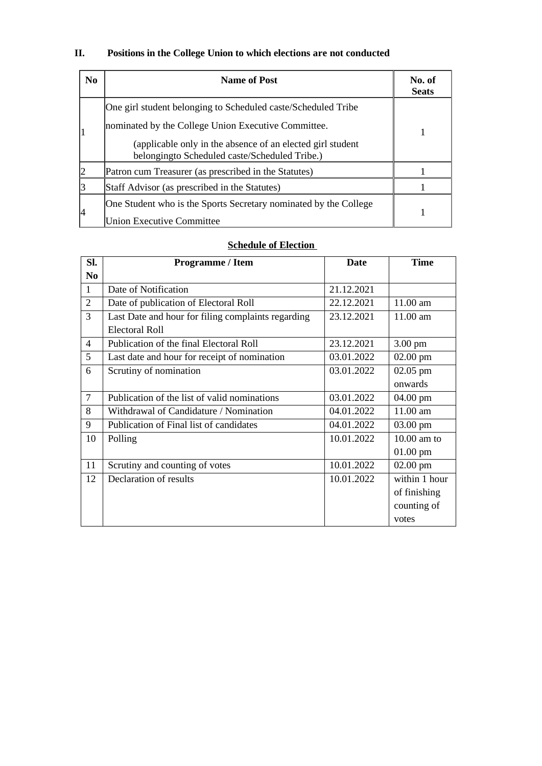## **II. Positions in the College Union to which elections are not conducted**

| N <sub>0</sub> | <b>Name of Post</b>                                                                                         | No. of<br><b>Seats</b> |  |
|----------------|-------------------------------------------------------------------------------------------------------------|------------------------|--|
|                | One girl student belonging to Scheduled caste/Scheduled Tribe                                               |                        |  |
|                | nominated by the College Union Executive Committee.                                                         |                        |  |
|                | (applicable only in the absence of an elected girl student<br>belongingto Scheduled caste/Scheduled Tribe.) |                        |  |
| 12             | Patron cum Treasurer (as prescribed in the Statutes)                                                        |                        |  |
|                | Staff Advisor (as prescribed in the Statutes)                                                               |                        |  |
| 14             | One Student who is the Sports Secretary nominated by the College<br><b>Union Executive Committee</b>        |                        |  |

### **<u>Schedule of Election</u>**

| SI.            | Programme / Item                                   | <b>Date</b> | <b>Time</b>   |
|----------------|----------------------------------------------------|-------------|---------------|
| N <sub>0</sub> |                                                    |             |               |
| $\mathbf{1}$   | Date of Notification                               | 21.12.2021  |               |
| $\overline{2}$ | Date of publication of Electoral Roll              | 22.12.2021  | 11.00 am      |
| 3              | Last Date and hour for filing complaints regarding | 23.12.2021  | 11.00 am      |
|                | Electoral Roll                                     |             |               |
| 4              | Publication of the final Electoral Roll            | 23.12.2021  | $3.00$ pm     |
| 5              | Last date and hour for receipt of nomination       | 03.01.2022  | $02.00$ pm    |
| 6              | Scrutiny of nomination                             | 03.01.2022  | 02.05 pm      |
|                |                                                    |             | onwards       |
| 7              | Publication of the list of valid nominations       | 03.01.2022  | 04.00 pm      |
| 8              | Withdrawal of Candidature / Nomination             | 04.01.2022  | $11.00$ am    |
| 9              | Publication of Final list of candidates            | 04.01.2022  | 03.00 pm      |
| 10             | Polling                                            | 10.01.2022  | $10.00$ am to |
|                |                                                    |             | $01.00$ pm    |
| 11             | Scrutiny and counting of votes                     | 10.01.2022  | $02.00$ pm    |
| 12             | Declaration of results                             | 10.01.2022  | within 1 hour |
|                |                                                    |             | of finishing  |
|                |                                                    |             | counting of   |
|                |                                                    |             | votes         |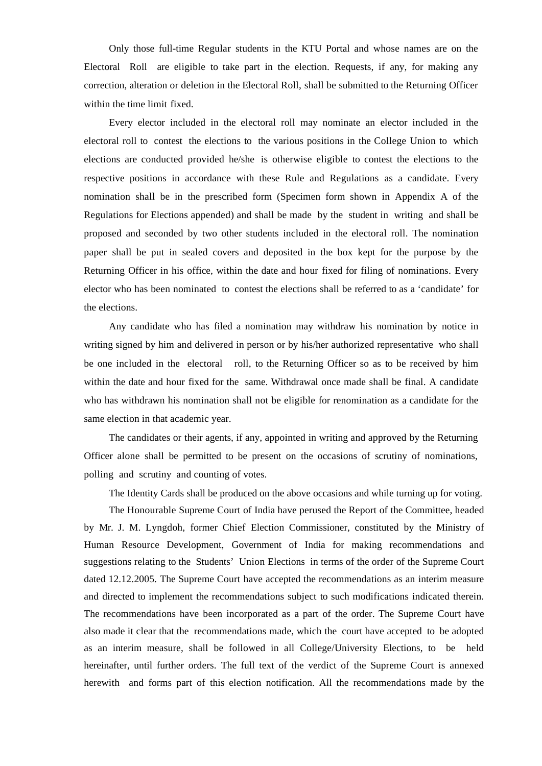Only those full-time Regular students in the KTU Portal and whose names are on the Electoral Roll are eligible to take part in the election. Requests, if any, for making any correction, alteration or deletion in the Electoral Roll, shall be submitted to the Returning Officer within the time limit fixed.

Every elector included in the electoral roll may nominate an elector included in the electoral roll to contest the elections to the various positions in the College Union to which elections are conducted provided he/she is otherwise eligible to contest the elections to the respective positions in accordance with these Rule and Regulations as a candidate. Every nomination shall be in the prescribed form (Specimen form shown in Appendix A of the Regulations for Elections appended) and shall be made by the student in writing and shall be proposed and seconded by two other students included in the electoral roll. The nomination paper shall be put in sealed covers and deposited in the box kept for the purpose by the Returning Officer in his office, within the date and hour fixed for filing of nominations. Every elector who has been nominated to contest the elections shall be referred to as a 'candidate' for the elections.

Any candidate who has filed a nomination may withdraw his nomination by notice in writing signed by him and delivered in person or by his/her authorized representative who shall be one included in the electoral roll, to the Returning Officer so as to be received by him within the date and hour fixed for the same. Withdrawal once made shall be final. A candidate who has withdrawn his nomination shall not be eligible for renomination as a candidate for the same election in that academic year.

The candidates or their agents, if any, appointed in writing and approved by the Returning Officer alone shall be permitted to be present on the occasions of scrutiny of nominations, polling and scrutiny and counting of votes.

The Identity Cards shall be produced on the above occasions and while turning up for voting.

The Honourable Supreme Court of India have perused the Report of the Committee, headed by Mr. J. M. Lyngdoh, former Chief Election Commissioner, constituted by the Ministry of Human Resource Development, Government of India for making recommendations and suggestions relating to the Students' Union Elections in terms of the order of the Supreme Court dated 12.12.2005. The Supreme Court have accepted the recommendations as an interim measure and directed to implement the recommendations subject to such modifications indicated therein. The recommendations have been incorporated as a part of the order. The Supreme Court have also made it clear that the recommendations made, which the court have accepted to be adopted as an interim measure, shall be followed in all College/University Elections, to be held hereinafter, until further orders. The full text of the verdict of the Supreme Court is annexed herewith and forms part of this election notification. All the recommendations made by the